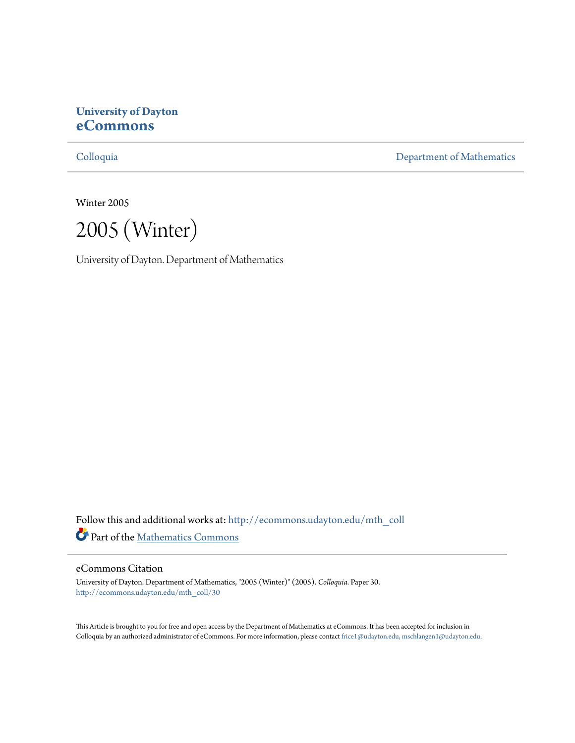# **University of Dayton [eCommons](http://ecommons.udayton.edu?utm_source=ecommons.udayton.edu%2Fmth_coll%2F30&utm_medium=PDF&utm_campaign=PDFCoverPages)**

[Colloquia](http://ecommons.udayton.edu/mth_coll?utm_source=ecommons.udayton.edu%2Fmth_coll%2F30&utm_medium=PDF&utm_campaign=PDFCoverPages) [Department of Mathematics](http://ecommons.udayton.edu/mth?utm_source=ecommons.udayton.edu%2Fmth_coll%2F30&utm_medium=PDF&utm_campaign=PDFCoverPages)

Winter 2005

2005 (Winter)

University of Dayton. Department of Mathematics

Follow this and additional works at: [http://ecommons.udayton.edu/mth\\_coll](http://ecommons.udayton.edu/mth_coll?utm_source=ecommons.udayton.edu%2Fmth_coll%2F30&utm_medium=PDF&utm_campaign=PDFCoverPages) Part of the [Mathematics Commons](http://network.bepress.com/hgg/discipline/174?utm_source=ecommons.udayton.edu%2Fmth_coll%2F30&utm_medium=PDF&utm_campaign=PDFCoverPages)

#### eCommons Citation

University of Dayton. Department of Mathematics, "2005 (Winter)" (2005). *Colloquia.* Paper 30. [http://ecommons.udayton.edu/mth\\_coll/30](http://ecommons.udayton.edu/mth_coll/30?utm_source=ecommons.udayton.edu%2Fmth_coll%2F30&utm_medium=PDF&utm_campaign=PDFCoverPages)

This Article is brought to you for free and open access by the Department of Mathematics at eCommons. It has been accepted for inclusion in Colloquia by an authorized administrator of eCommons. For more information, please contact [frice1@udayton.edu, mschlangen1@udayton.edu.](mailto:frice1@udayton.edu,%20mschlangen1@udayton.edu)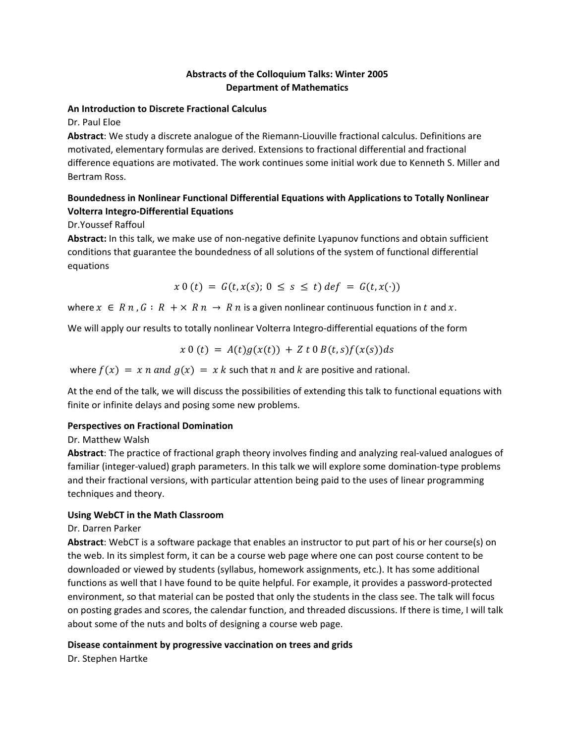## **Abstracts of the Colloquium Talks: Winter 2005 Department of Mathematics**

#### **An Introduction to Discrete Fractional Calculus**

Dr. Paul Eloe

**Abstract**: We study a discrete analogue of the Riemann‐Liouville fractional calculus. Definitions are motivated, elementary formulas are derived. Extensions to fractional differential and fractional difference equations are motivated. The work continues some initial work due to Kenneth S. Miller and Bertram Ross.

## **Boundedness in Nonlinear Functional Differential Equations with Applications to Totally Nonlinear Volterra Integro‐Differential Equations**

Dr.Youssef Raffoul

**Abstract:** In this talk, we make use of non‐negative definite Lyapunov functions and obtain sufficient conditions that guarantee the boundedness of all solutions of the system of functional differential equations

$$
x \ 0 \ (t) = G(t, x(s); 0 \le s \le t) \ def = G(t, x(\cdot))
$$

where  $x \in R$  n,  $G : R + \times R$   $n \to R$  n is a given nonlinear continuous function in t and x.

We will apply our results to totally nonlinear Volterra Integro-differential equations of the form

$$
x 0 (t) = A(t)g(x(t)) + Z t 0 B(t,s)f(x(s))ds
$$

where  $f(x) = x n$  and  $g(x) = x k$  such that n and k are positive and rational.

At the end of the talk, we will discuss the possibilities of extending this talk to functional equations with finite or infinite delays and posing some new problems.

## **Perspectives on Fractional Domination**

Dr. Matthew Walsh

**Abstract**: The practice of fractional graph theory involves finding and analyzing real‐valued analogues of familiar (integer-valued) graph parameters. In this talk we will explore some domination-type problems and their fractional versions, with particular attention being paid to the uses of linear programming techniques and theory.

## **Using WebCT in the Math Classroom**

Dr. Darren Parker

**Abstract**: WebCT is a software package that enables an instructor to put part of his or her course(s) on the web. In its simplest form, it can be a course web page where one can post course content to be downloaded or viewed by students (syllabus, homework assignments, etc.). It has some additional functions as well that I have found to be quite helpful. For example, it provides a password‐protected environment, so that material can be posted that only the students in the class see. The talk will focus on posting grades and scores, the calendar function, and threaded discussions. If there is time, I will talk about some of the nuts and bolts of designing a course web page.

## **Disease containment by progressive vaccination on trees and grids**

Dr. Stephen Hartke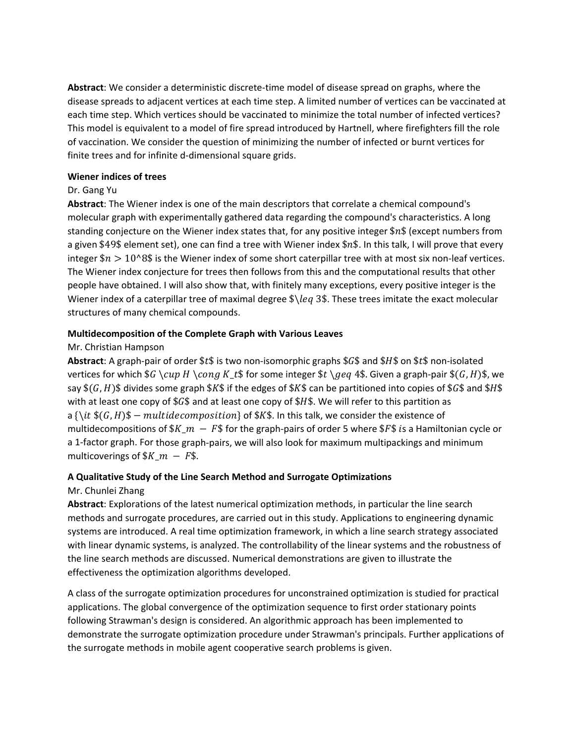**Abstract**: We consider a deterministic discrete‐time model of disease spread on graphs, where the disease spreads to adjacent vertices at each time step. A limited number of vertices can be vaccinated at each time step. Which vertices should be vaccinated to minimize the total number of infected vertices? This model is equivalent to a model of fire spread introduced by Hartnell, where firefighters fill the role of vaccination. We consider the question of minimizing the number of infected or burnt vertices for finite trees and for infinite d‐dimensional square grids.

#### **Wiener indices of trees**

## Dr. Gang Yu

**Abstract**: The Wiener index is one of the main descriptors that correlate a chemical compound's molecular graph with experimentally gathered data regarding the compound's characteristics. A long standing conjecture on the Wiener index states that, for any positive integer \$n\$ (except numbers from a given \$49\$ element set), one can find a tree with Wiener index \$ $n$ \$. In this talk, I will prove that every integer  $\sin > 10^8$  is the Wiener index of some short caterpillar tree with at most six non-leaf vertices. The Wiener index conjecture for trees then follows from this and the computational results that other people have obtained. I will also show that, with finitely many exceptions, every positive integer is the Wiener index of a caterpillar tree of maximal degree  $\lambda \leq 3$ . These trees imitate the exact molecular structures of many chemical compounds.

### **Multidecomposition of the Complete Graph with Various Leaves**

### Mr. Christian Hampson

**Abstract**: A graph-pair of order \$t\$ is two non-isomorphic graphs \$G\$ and \$H\$ on \$t\$ non-isolated vertices for which  $G \cup H \cong K_t$  for some integer  $t \geq 4$ . Given a graph-pair  $(G, H)$ , we say  $(S, H)$ \$ divides some graph \$K\$ if the edges of \$K\$ can be partitioned into copies of \$G\$ and \$H\$ with at least one copy of \$ $G$ \$ and at least one copy of \$ $H$ \$. We will refer to this partition as a  $\{\hat{x}, \hat{f}(G, H)\$  – multidecomposition of \$K\$. In this talk, we consider the existence of multidecompositions of  $K_m - FS$  for the graph-pairs of order 5 where  $F\$  is a Hamiltonian cycle or a 1‐factor graph. For those graph‐pairs, we will also look for maximum multipackings and minimum multicoverings of  $K_m - FS$ .

# **A Qualitative Study of the Line Search Method and Surrogate Optimizations**

#### Mr. Chunlei Zhang

**Abstract**: Explorations of the latest numerical optimization methods, in particular the line search methods and surrogate procedures, are carried out in this study. Applications to engineering dynamic systems are introduced. A real time optimization framework, in which a line search strategy associated with linear dynamic systems, is analyzed. The controllability of the linear systems and the robustness of the line search methods are discussed. Numerical demonstrations are given to illustrate the effectiveness the optimization algorithms developed.

A class of the surrogate optimization procedures for unconstrained optimization is studied for practical applications. The global convergence of the optimization sequence to first order stationary points following Strawman's design is considered. An algorithmic approach has been implemented to demonstrate the surrogate optimization procedure under Strawman's principals. Further applications of the surrogate methods in mobile agent cooperative search problems is given.